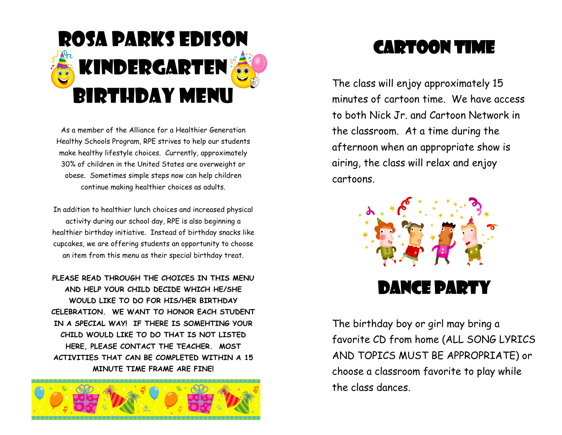

As a member of the Alliance for a Healthier Generation Healthy Schools Program, RPE strives to help our students make healthy lifestyle choices. Currently, approximately 30% of children in the United States are overweight or obese. Sometimes simple steps now can help children continue making healthier choices as adults.

In addition to healthier lunch choices and increased physical activity during our school day, RPE is also beginning a healthier birthday initiative. Instead of birthday snacks like cupcakes, we are offering students an opportunity to choose an item from this menu as their special birthday treat.

**PLEASE READ THROUGH THE CHOICES IN THIS MENU AND HELP YOUR CHILD DECIDE WHICH HE/SHE WOULD LIKE TO DO FOR HIS/HER BIRTHDAY CELEBRATION. WE WANT TO HONOR EACH STUDENT IN A SPECIAL WAY! IF THERE IS SOMEHTING YOUR CHILD WOULD LIKE TO DO THAT IS NOT LISTED HERE, PLEASE CONTACT THE TEACHER. MOST ACTIVITIES THAT CAN BE COMPLETED WITHIN A 15 MINUTE TIME FRAME ARE FINE!**



### Cartoon time

The class will enjoy approximately 15 minutes of cartoon time. We have access to both Nick Jr. and Cartoon Network in the classroom. At a time during the afternoon when an appropriate show is airing, the class will relax and enjoy cartoons.



#### Dance party

The birthday boy or girl may bring a favorite CD from home (ALL SONG LYRICS AND TOPICS MUST BE APPROPRIATE) or choose a classroom favorite to play while the class dances.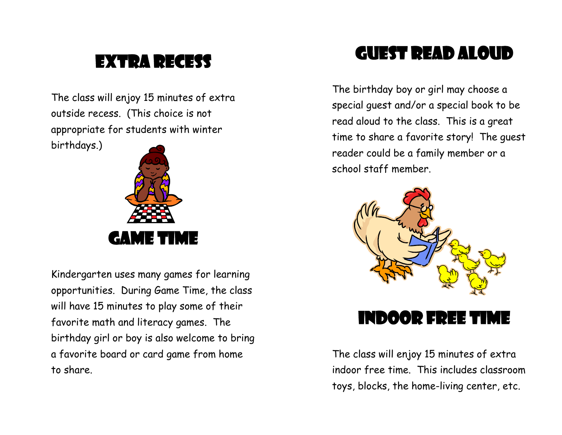## EXTRA RECESS

The class will enjoy 15 minutes of extra outside recess. (This choice is not appropriate for students with winter birthdays.)



Kindergarten uses many games for learning opportunities. During Game Time, the class will have 15 minutes to play some of their favorite math and literacy games. The birthday girl or boy is also welcome to bring a favorite board or card game from home to share.

#### Guest Read aloud

The birthday boy or girl may choose a special guest and/or a special book to be read aloud to the class. This is a great time to share a favorite story! The guest reader could be a family member or a school staff member.



Indoor free time

The class will enjoy 15 minutes of extra indoor free time. This includes classroom toys, blocks, the home-living center, etc.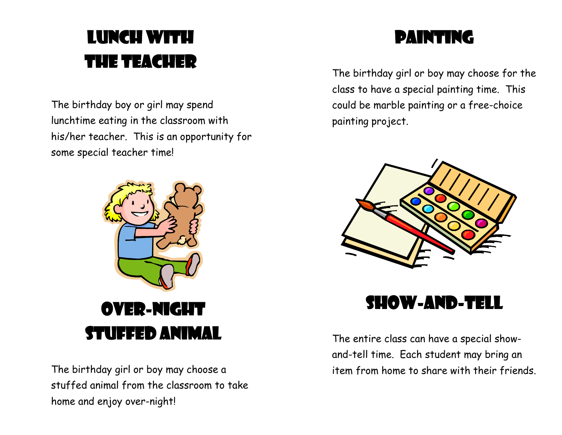# LUNCH WITH the teacher

The birthday boy or girl may spend lunchtime eating in the classroom with his/her teacher. This is an opportunity for some special teacher time!



The birthday girl or boy may choose a stuffed animal from the classroom to take home and enjoy over-night!

#### painting

The birthday girl or boy may choose for the class to have a special painting time. This could be marble painting or a free-choice painting project.



#### Show-and-tell

The entire class can have a special showand-tell time. Each student may bring an item from home to share with their friends.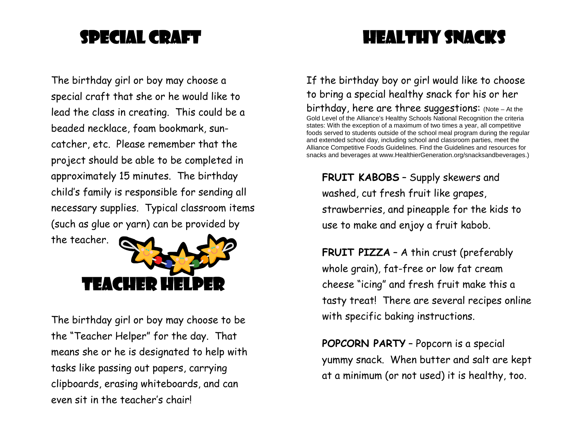#### Special craft

#### Healthy snacks

The birthday girl or boy may choose a special craft that she or he would like to lead the class in creating. This could be a beaded necklace, foam bookmark, suncatcher, etc. Please remember that the project should be able to be completed in approximately 15 minutes. The birthday child's family is responsible for sending all necessary supplies. Typical classroom items (such as glue or yarn) can be provided by



The birthday girl or boy may choose to be the "Teacher Helper" for the day. That means she or he is designated to help with tasks like passing out papers, carrying clipboards, erasing whiteboards, and can even sit in the teacher's chair!

If the birthday boy or girl would like to choose to bring a special healthy snack for his or her birthday, here are three suggestions: (Note – At the Gold Level of the Alliance's Healthy Schools National Recognition the criteria states: With the exception of a maximum of two times a year, all competitive foods served to students outside of the school meal program during the regular and extended school day, including school and classroom parties, meet the Alliance Competitive Foods Guidelines. Find the Guidelines and resources for snacks and beverages at www.HealthierGeneration.org/snacksandbeverages.)

**FRUIT KABOBS** – Supply skewers and washed, cut fresh fruit like grapes, strawberries, and pineapple for the kids to use to make and enjoy a fruit kabob.

**FRUIT PIZZA** – A thin crust (preferably whole grain), fat-free or low fat cream cheese "icing" and fresh fruit make this a tasty treat! There are several recipes online with specific baking instructions.

**POPCORN PARTY** – Popcorn is a special yummy snack. When butter and salt are kept at a minimum (or not used) it is healthy, too.